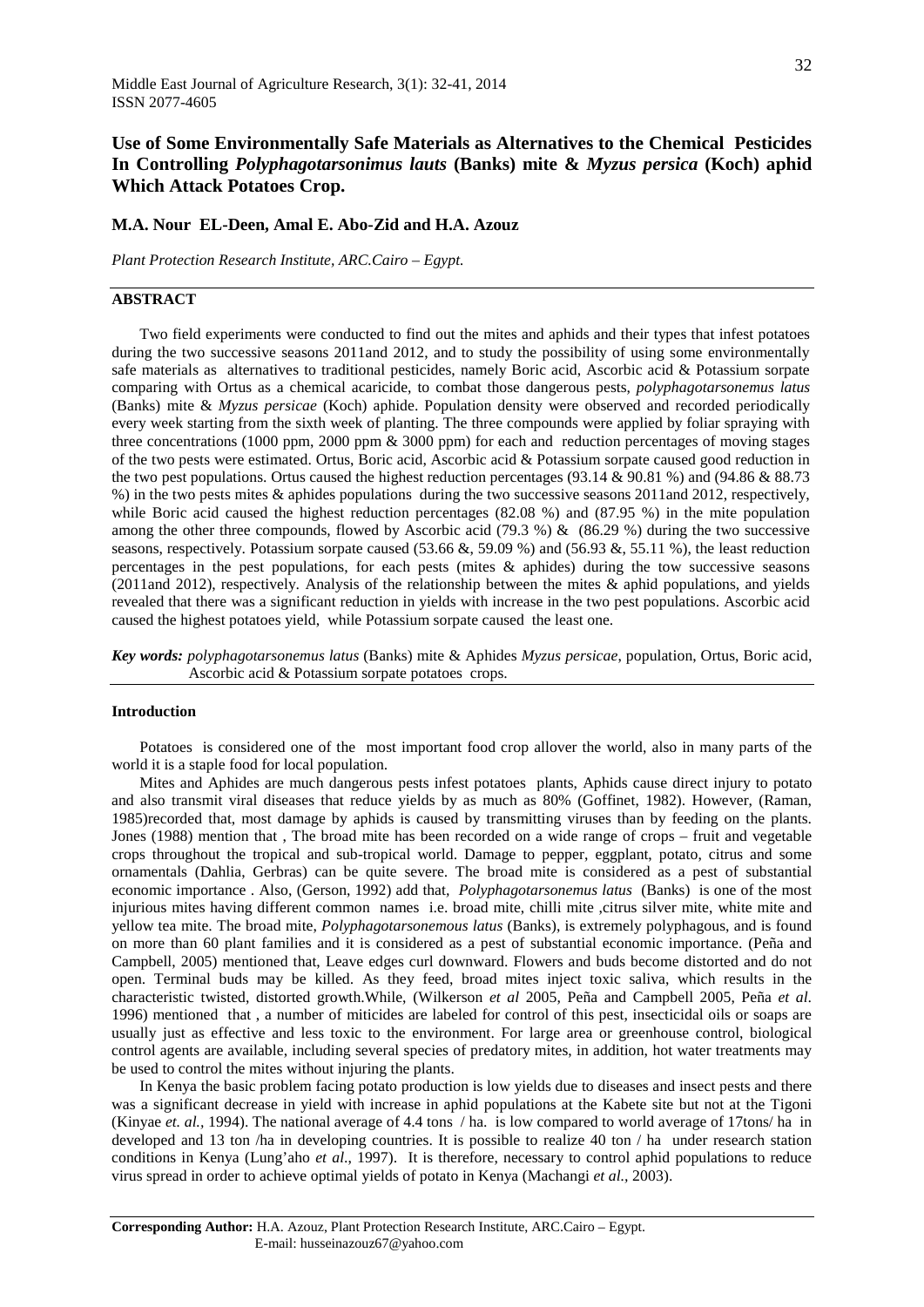# **Use of Some Environmentally Safe Materials as Alternatives to the Chemical Pesticides In Controlling** *Polyphagotarsonimus lauts* **(Banks) mite &** *Myzus persica* **(Koch) aphid Which Attack Potatoes Crop.**

## **M.A. Nour EL-Deen, Amal E. Abo-Zid and H.A. Azouz**

*Plant Protection Research Institute, ARC.Cairo – Egypt.*

## **ABSTRACT**

Two field experiments were conducted to find out the mites and aphids and their types that infest potatoes during the two successive seasons 2011and 2012, and to study the possibility of using some environmentally safe materials as alternatives to traditional pesticides, namely Boric acid, Ascorbic acid & Potassium sorpate comparing with Ortus as a chemical acaricide, to combat those dangerous pests, *polyphagotarsonemus latus* (Banks) mite & *Myzus persicae* (Koch) aphide. Population density were observed and recorded periodically every week starting from the sixth week of planting. The three compounds were applied by foliar spraying with three concentrations (1000 ppm, 2000 ppm & 3000 ppm) for each and reduction percentages of moving stages of the two pests were estimated. Ortus, Boric acid, Ascorbic acid & Potassium sorpate caused good reduction in the two pest populations. Ortus caused the highest reduction percentages (93.14 & 90.81 %) and (94.86 & 88.73 %) in the two pests mites & aphides populations during the two successive seasons 2011and 2012, respectively, while Boric acid caused the highest reduction percentages (82.08 %) and (87.95 %) in the mite population among the other three compounds, flowed by Ascorbic acid (79.3 %) & (86.29 %) during the two successive seasons, respectively. Potassium sorpate caused (53.66 &, 59.09 %) and (56.93 &, 55.11 %), the least reduction percentages in the pest populations, for each pests (mites & aphides) during the tow successive seasons (2011and 2012), respectively. Analysis of the relationship between the mites & aphid populations, and yields revealed that there was a significant reduction in yields with increase in the two pest populations. Ascorbic acid caused the highest potatoes yield, while Potassium sorpate caused the least one.

*Key words: polyphagotarsonemus latus* (Banks) mite & Aphides *Myzus persicae*, population, Ortus, Boric acid, Ascorbic acid & Potassium sorpate potatoes crops.

### **Introduction**

Potatoes is considered one of the most important food crop allover the world, also in many parts of the world it is a staple food for local population.

Mites and Aphides are much dangerous pests infest potatoes plants, Aphids cause direct injury to potato and also transmit viral diseases that reduce yields by as much as 80% (Goffinet, 1982). However, (Raman, 1985)recorded that, most damage by aphids is caused by transmitting viruses than by feeding on the plants. Jones (1988) mention that , The broad mite has been recorded on a wide range of crops – fruit and vegetable crops throughout the tropical and sub-tropical world. Damage to pepper, eggplant, potato, citrus and some ornamentals (Dahlia, Gerbras) can be quite severe. The broad mite is considered as a pest of substantial economic importance . Also, (Gerson, 1992) add that*, Polyphagotarsonemus latus* (Banks) is one of the most injurious mites having different common names i.e. broad mite, chilli mite ,citrus silver mite, white mite and yellow tea mite. The broad mite, *Polyphagotarsonemous latus* (Banks), is extremely polyphagous, and is found on more than 60 plant families and it is considered as a pest of substantial economic importance. (Peña and Campbell, 2005) mentioned that, Leave edges curl downward. Flowers and buds become distorted and do not open. Terminal buds may be killed. As they feed, broad mites inject toxic saliva, which results in the characteristic twisted, distorted growth.While, (Wilkerson *et al* 2005, Peña and Campbell 2005, Peña *et al*. 1996) mentioned that , a number of miticides are labeled for control of this pest, insecticidal oils or soaps are usually just as effective and less toxic to the environment. For large area or greenhouse control, biological control agents are available, including several species of predatory mites, in addition, hot water treatments may be used to control the mites without injuring the plants.

In Kenya the basic problem facing potato production is low yields due to diseases and insect pests and there was a significant decrease in yield with increase in aphid populations at the Kabete site but not at the Tigoni (Kinyae *et. al.,* 1994). The national average of 4.4 tons / ha. is low compared to world average of 17tons/ ha in developed and 13 ton /ha in developing countries. It is possible to realize 40 ton / ha under research station conditions in Kenya (Lung'aho *et al*., 1997). It is therefore, necessary to control aphid populations to reduce virus spread in order to achieve optimal yields of potato in Kenya (Machangi *et al.,* 2003).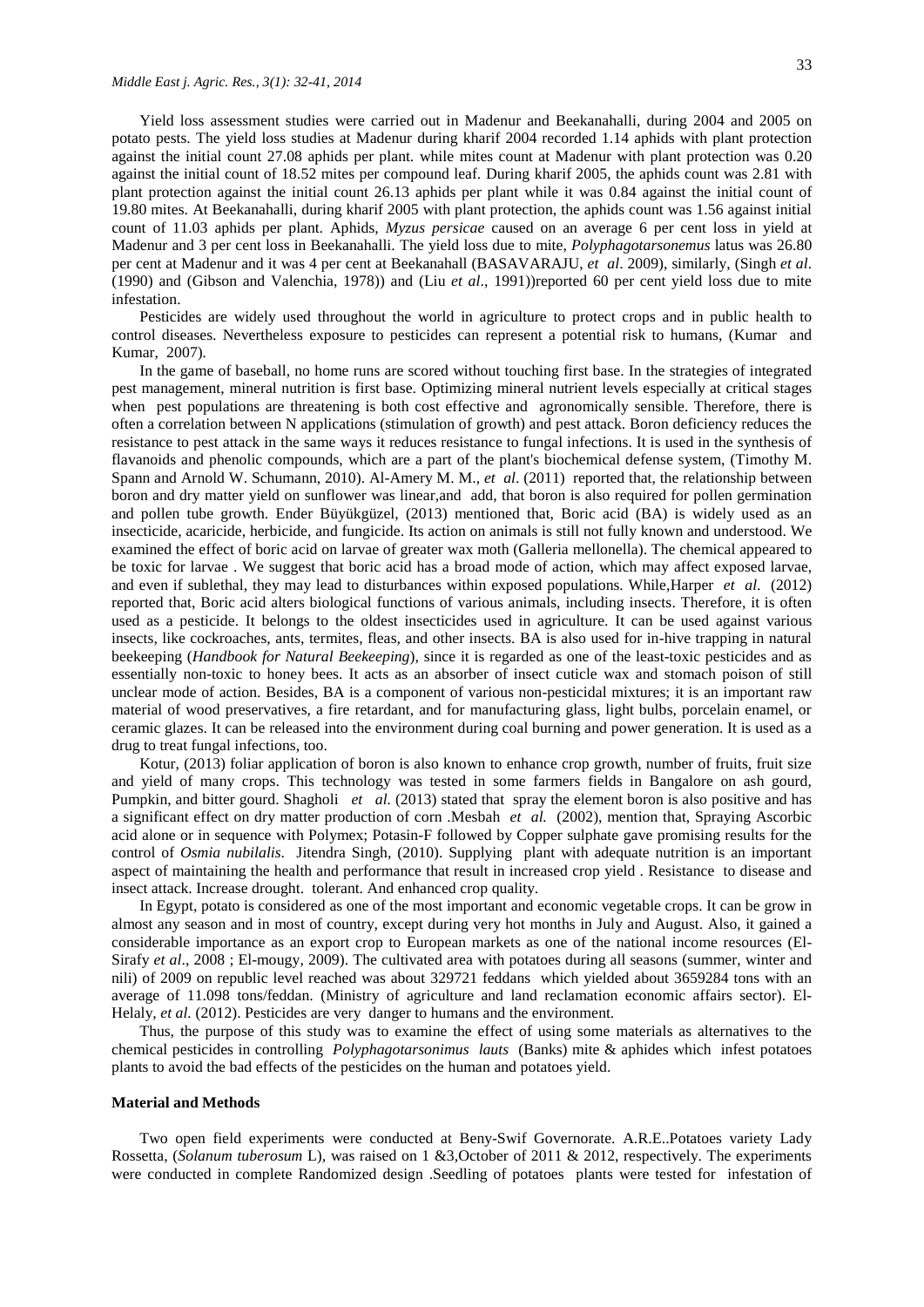Yield loss assessment studies were carried out in Madenur and Beekanahalli, during 2004 and 2005 on potato pests. The yield loss studies at Madenur during kharif 2004 recorded 1.14 aphids with plant protection against the initial count 27.08 aphids per plant. while mites count at Madenur with plant protection was 0.20 against the initial count of 18.52 mites per compound leaf. During kharif 2005, the aphids count was 2.81 with plant protection against the initial count 26.13 aphids per plant while it was 0.84 against the initial count of 19.80 mites. At Beekanahalli, during kharif 2005 with plant protection, the aphids count was 1.56 against initial count of 11.03 aphids per plant. Aphids, *Myzus persicae* caused on an average 6 per cent loss in yield at Madenur and 3 per cent loss in Beekanahalli. The yield loss due to mite, *Polyphagotarsonemus* latus was 26.80 per cent at Madenur and it was 4 per cent at Beekanahall (BASAVARAJU, *et al*. 2009), similarly, (Singh *et al*. (1990) and (Gibson and Valenchia, 1978)) and (Liu *et al*., 1991))reported 60 per cent yield loss due to mite infestation.

Pesticides are widely used throughout the world in agriculture to protect crops and in public health to control diseases. Nevertheless exposure to pesticides can represent a potential risk to humans, (Kumar and Kumar, 2007)*.*

In the game of baseball, no home runs are scored without touching first base. In the strategies of integrated pest management, mineral nutrition is first base. Optimizing mineral nutrient levels especially at critical stages when pest populations are threatening is both cost effective and agronomically sensible. Therefore, there is often a correlation between N applications (stimulation of growth) and pest attack. Boron deficiency reduces the resistance to pest attack in the same ways it reduces resistance to fungal infections. It is used in the synthesis of flavanoids and phenolic compounds, which are a part of the plant's biochemical defense system, (Timothy M. Spann and Arnold W. Schumann, 2010). Al-Amery M. M., *et al*. (2011) reported that, the relationship between boron and dry matter yield on sunflower was linear,and add, that boron is also required for pollen germination and pollen tube growth. [Ender Büyükgüzel,](http://www.ncbi.nlm.nih.gov/pubmed/?term=B%26%23x000fc%3By%26%23x000fc%3Bkg%26%23x000fc%3Bzel%20E%5Bauth%5D) (2013) mentioned that, Boric acid (BA) is widely used as an insecticide, acaricide, herbicide, and fungicide. Its action on animals is still not fully known and understood. We examined the effect of boric acid on larvae of greater wax moth (Galleria mellonella). The chemical appeared to be toxic for larvae . We suggest that boric acid has a broad mode of action, which may affect exposed larvae, and even if sublethal, they may lead to disturbances within exposed populations. While,Harper *et al*. (2012) reported that, Boric acid alters biological functions of various animals, including insects. Therefore, it is often used as a pesticide. It belongs to the oldest insecticides used in agriculture. It can be used against various insects, like cockroaches, ants, termites, fleas, and other insects. BA is also used for in-hive trapping in natural beekeeping (*Handbook for Natural Beekeeping*), since it is regarded as one of the least-toxic pesticides and as essentially non-toxic to honey bees. It acts as an absorber of insect cuticle wax and stomach poison of still unclear mode of action. Besides, BA is a component of various non-pesticidal mixtures; it is an important raw material of wood preservatives, a fire retardant, and for manufacturing glass, light bulbs, porcelain enamel, or ceramic glazes. It can be released into the environment during coal burning and power generation. It is used as a drug to treat fungal infections, too.

Kotur, (2013) foliar application of boron is also known to enhance crop growth, number of fruits, fruit size and yield of many crops. This technology was tested in some farmers fields in Bangalore on ash gourd, Pumpkin, and bitter gourd. Shagholi *et al.* (2013) stated that spray the element boron is also positive and has a significant effect on dry matter production of corn [.Mesbah](http://www.ncbi.nlm.nih.gov/pubmed?term=Mesbah%20HA%5BAuthor%5D&cauthor=true&cauthor_uid=12696425) *et al.* (2002), mention that, Spraying Ascorbic acid alone or in sequence with Polymex; Potasin-F followed by Copper sulphate gave promising results for the control of *Osmia nubilalis*. [Jitendra Singh,](http://www.authorstream.com/kkcr/) (2010). Supplying plant with adequate nutrition is an important aspect of maintaining the health and performance that result in increased crop yield . Resistance to disease and insect attack. Increase drought. tolerant. And enhanced crop quality.

In Egypt, potato is considered as one of the most important and economic vegetable crops. It can be grow in almost any season and in most of country, except during very hot months in July and August. Also, it gained a considerable importance as an export crop to European markets as one of the national income resources (El-Sirafy *et al*., 2008 ; El-mougy, 2009). The cultivated area with potatoes during all seasons (summer, winter and nili) of 2009 on republic level reached was about 329721 feddans which yielded about 3659284 tons with an average of 11.098 tons/feddan. (Ministry of agriculture and land reclamation economic affairs sector). El-Helaly, *et al.* (2012). Pesticides are very danger to humans and the environment.

Thus, the purpose of this study was to examine the effect of using some materials as alternatives to the chemical pesticides in controlling *Polyphagotarsonimus lauts* (Banks) mite & aphides which infest potatoes plants to avoid the bad effects of the pesticides on the human and potatoes yield.

#### **Material and Methods**

Two open field experiments were conducted at Beny-Swif Governorate. A.R.E..Potatoes variety Lady Rossetta, (*Solanum tuberosum* L), was raised on 1 &3,October of 2011 & 2012, respectively. The experiments were conducted in complete Randomized design .Seedling of potatoes plants were tested for infestation of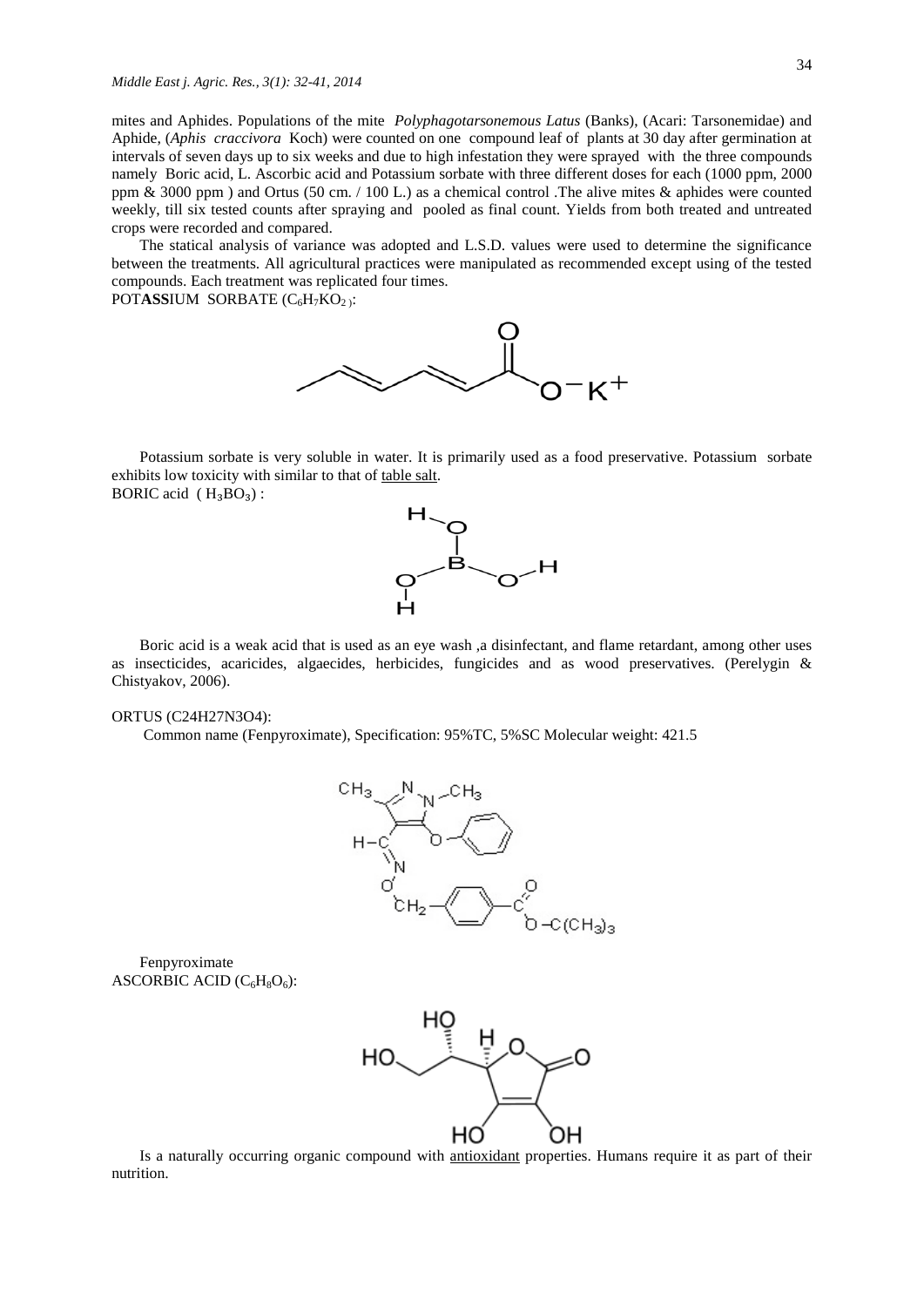mites and Aphides. Populations of the mite *Polyphagotarsonemous Latus* (Banks), (Acari: Tarsonemidae) and Aphide, (*Aphis craccivora* Koch) were counted on one compound leaf of plants at 30 day after germination at intervals of seven days up to six weeks and due to high infestation they were sprayed with the three compounds namely Boric acid, L. Ascorbic acid and Potassium sorbate with three different doses for each (1000 ppm, 2000 ppm & 3000 ppm ) and Ortus (50 cm. / 100 L.) as a chemical control .The alive mites & aphides were counted weekly, till six tested counts after spraying and pooled as final count. Yields from both treated and untreated crops were recorded and compared.

The statical analysis of variance was adopted and L.S.D. values were used to determine the significance between the treatments. All agricultural practices were manipulated as recommended except using of the tested compounds. Each treatment was replicated four times.

POTASSIUM SORBATE (C<sub>6</sub>H<sub>7</sub>KO<sub>2</sub>):



Potassium sorbate is very soluble in water. It is primarily used as a [food preservative.](http://en.wikipedia.org/wiki/Food_preservative) Potassium sorbate exhibits low toxicity with similar to that of [table salt.](http://en.wikipedia.org/wiki/Table_salt) BORIC acid  $(H_3BO_3)$ :



Boric acid is a weak acid that is used as an eye wash ,a disinfectant, and flame retardant, among other uses as insecticides, acaricides, algaecides, herbicides, fungicides and as wood preservatives. (Perelygin & Chistyakov, 2006).

#### ORTUS (C24H27N3O4):

Common name (Fenpyroximate), Specification: 95%TC, 5%SC Molecular weight: 421.5



Fenpyroximate ASCORBIC ACID  $(C_6H_8O_6)$ :



Is a naturally occurring [organic compound](http://en.wikipedia.org/wiki/Organic_compound) with [antioxidant](http://en.wikipedia.org/wiki/Antioxidant) properties. Humans require it as part of their nutrition.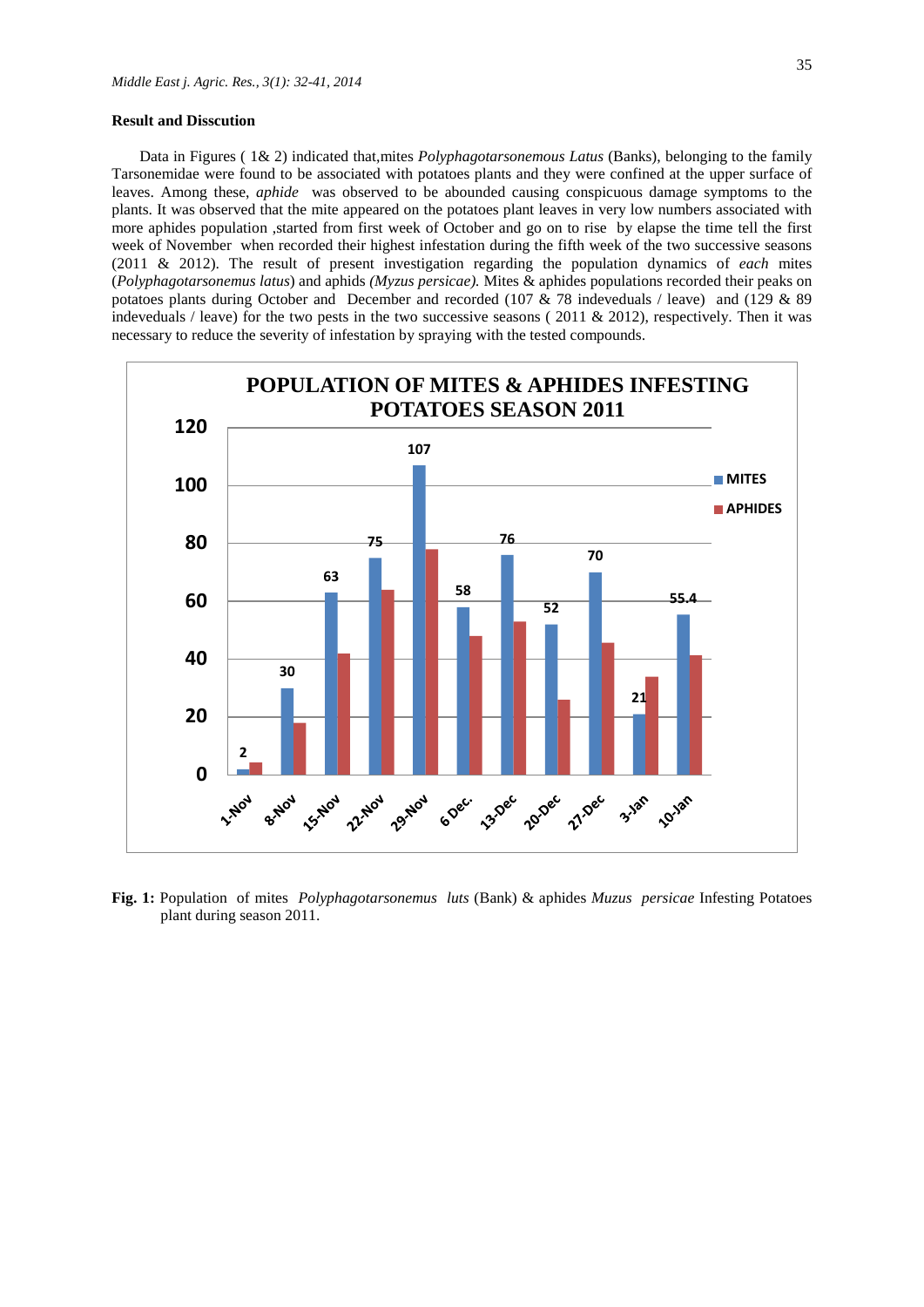#### **Result and Disscution**

Data in Figures ( 1& 2) indicated that,mites *Polyphagotarsonemous Latus* (Banks), belonging to the family Tarsonemidae were found to be associated with potatoes plants and they were confined at the upper surface of leaves. Among these, *aphide* was observed to be abounded causing conspicuous damage symptoms to the plants. It was observed that the mite appeared on the potatoes plant leaves in very low numbers associated with more aphides population ,started from first week of October and go on to rise by elapse the time tell the first week of November when recorded their highest infestation during the fifth week of the two successive seasons (2011 & 2012). The result of present investigation regarding the population dynamics of *each* mites (*Polyphagotarsonemus latus*) and aphids *(Myzus persicae).* Mites & aphides populations recorded their peaks on potatoes plants during October and December and recorded (107 & 78 indeveduals / leave) and (129 & 89 indeveduals / leave) for the two pests in the two successive seasons ( $2011 \& 2012$ ), respectively. Then it was necessary to reduce the severity of infestation by spraying with the tested compounds.



**Fig. 1:** Population of mites *Polyphagotarsonemus luts* (Bank) & aphides *Muzus persicae* Infesting Potatoes plant during season 2011.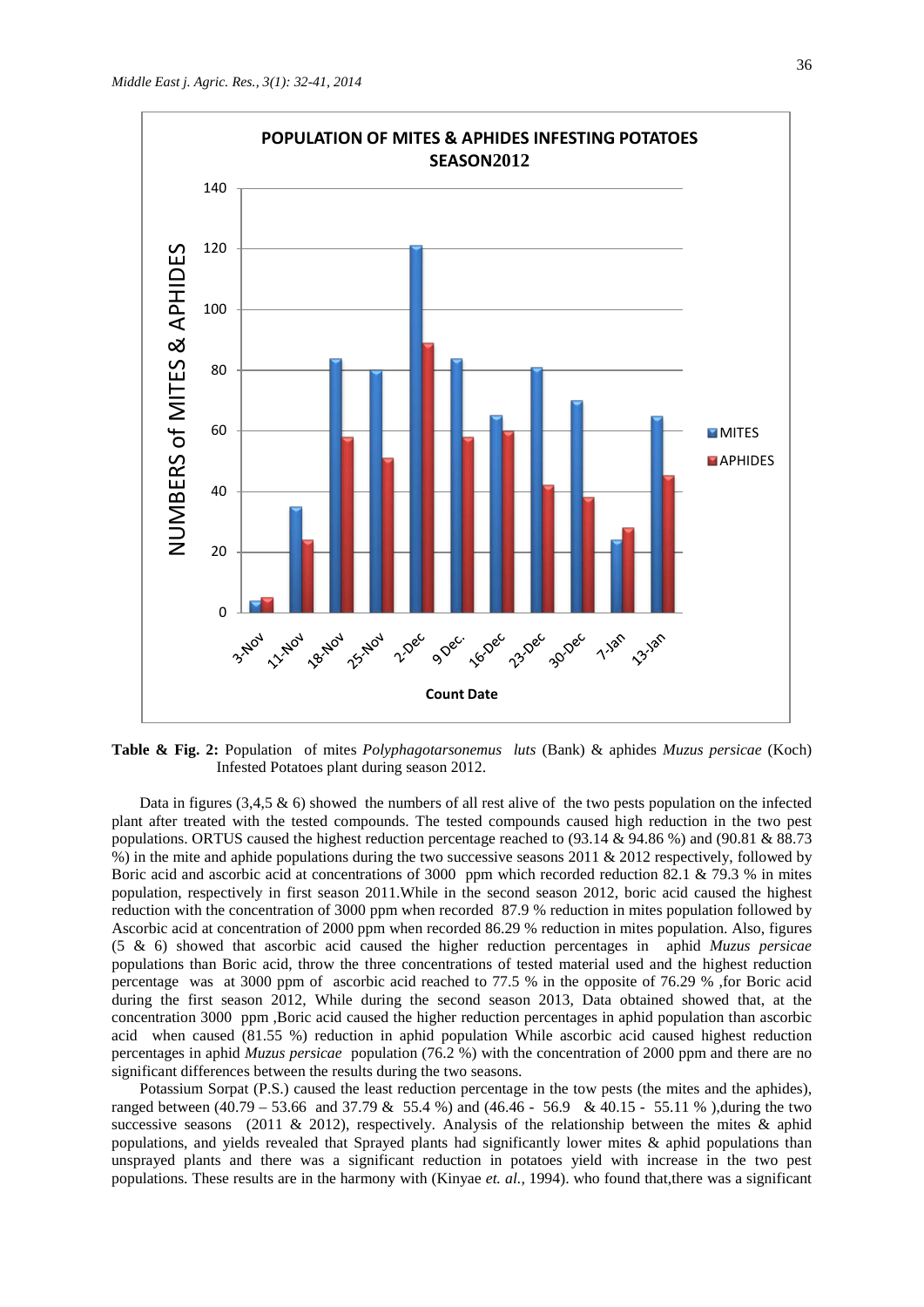

**Table & Fig. 2:** Population of mites *Polyphagotarsonemus luts* (Bank) & aphides *Muzus persicae* (Koch) Infested Potatoes plant during season 2012.

Data in figures  $(3,4,5 \& 6)$  showed the numbers of all rest alive of the two pests population on the infected plant after treated with the tested compounds. The tested compounds caused high reduction in the two pest populations. ORTUS caused the highest reduction percentage reached to (93.14 & 94.86 %) and (90.81 & 88.73 %) in the mite and aphide populations during the two successive seasons 2011 & 2012 respectively, followed by Boric acid and ascorbic acid at concentrations of 3000 ppm which recorded reduction 82.1 & 79.3 % in mites population, respectively in first season 2011.While in the second season 2012, boric acid caused the highest reduction with the concentration of 3000 ppm when recorded 87.9 % reduction in mites population followed by Ascorbic acid at concentration of 2000 ppm when recorded 86.29 % reduction in mites population. Also, figures (5 & 6) showed that ascorbic acid caused the higher reduction percentages in aphid *Muzus persicae*  populations than Boric acid, throw the three concentrations of tested material used and the highest reduction percentage was at 3000 ppm of ascorbic acid reached to 77.5 % in the opposite of 76.29 % ,for Boric acid during the first season 2012, While during the second season 2013, Data obtained showed that, at the concentration 3000 ppm ,Boric acid caused the higher reduction percentages in aphid population than ascorbic acid when caused (81.55 %) reduction in aphid population While ascorbic acid caused highest reduction percentages in aphid *Muzus persicae* population (76.2 %) with the concentration of 2000 ppm and there are no significant differences between the results during the two seasons.

Potassium Sorpat (P.S.) caused the least reduction percentage in the tow pests (the mites and the aphides), ranged between (40.79 – 53.66 and 37.79 & 55.4 %) and (46.46 - 56.9 & 40.15 - 55.11 % ),during the two successive seasons (2011 & 2012), respectively. Analysis of the relationship between the mites & aphid populations, and yields revealed that Sprayed plants had significantly lower mites & aphid populations than unsprayed plants and there was a significant reduction in potatoes yield with increase in the two pest populations. These results are in the harmony with (Kinyae *et. al.,* 1994). who found that,there was a significant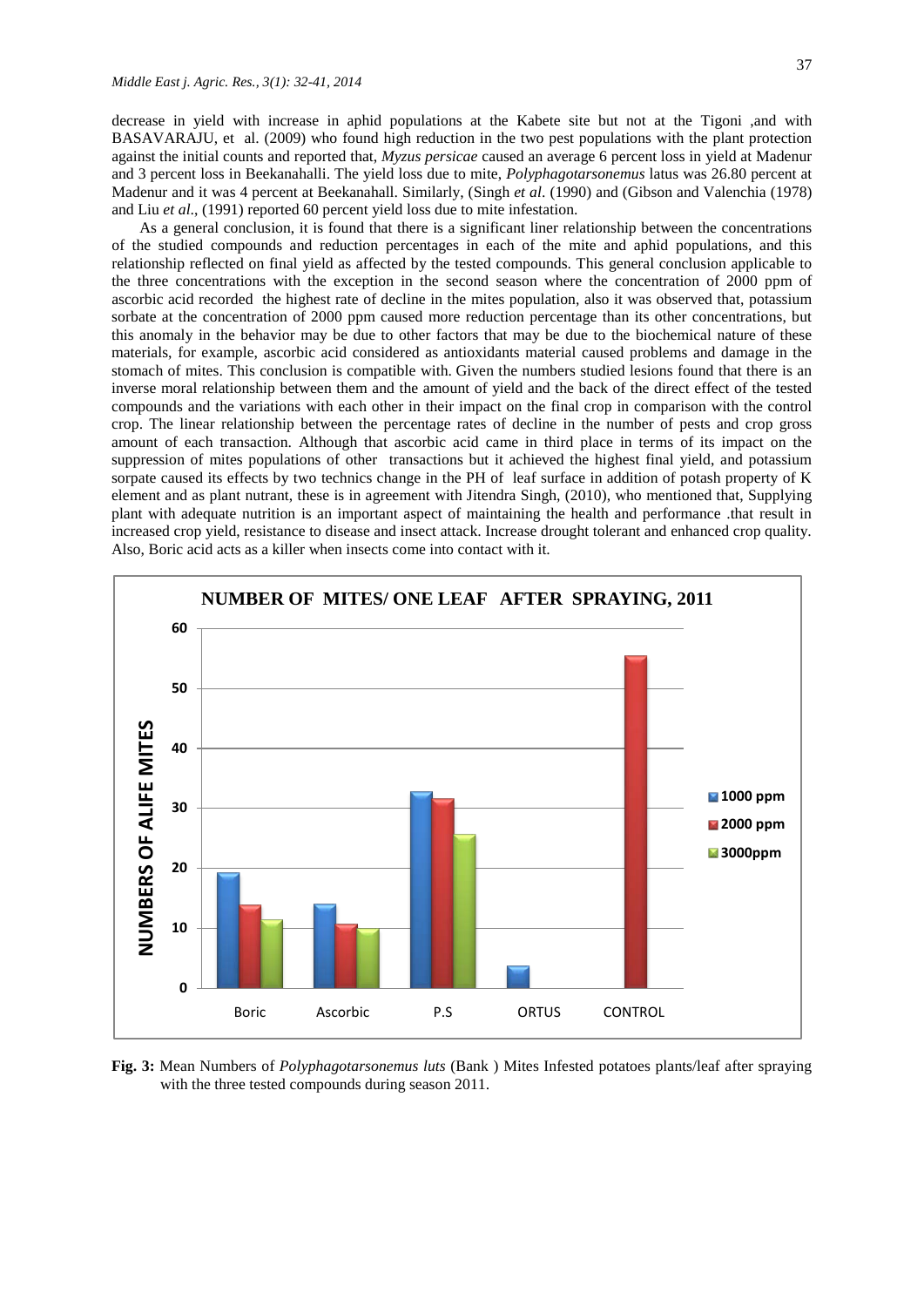decrease in yield with increase in aphid populations at the Kabete site but not at the Tigoni ,and with BASAVARAJU, et al. (2009) who found high reduction in the two pest populations with the plant protection against the initial counts and reported that, *Myzus persicae* caused an average 6 percent loss in yield at Madenur and 3 percent loss in Beekanahalli. The yield loss due to mite, *Polyphagotarsonemus* latus was 26.80 percent at Madenur and it was 4 percent at Beekanahall. Similarly, (Singh *et al*. (1990) and (Gibson and Valenchia (1978) and Liu *et al*., (1991) reported 60 percent yield loss due to mite infestation.

As a general conclusion, it is found that there is a significant liner relationship between the concentrations of the studied compounds and reduction percentages in each of the mite and aphid populations, and this relationship reflected on final yield as affected by the tested compounds. This general conclusion applicable to the three concentrations with the exception in the second season where the concentration of 2000 ppm of ascorbic acid recorded the highest rate of decline in the mites population, also it was observed that, potassium sorbate at the concentration of 2000 ppm caused more reduction percentage than its other concentrations, but this anomaly in the behavior may be due to other factors that may be due to the biochemical nature of these materials, for example, ascorbic acid considered as antioxidants material caused problems and damage in the stomach of mites. This conclusion is compatible with. Given the numbers studied lesions found that there is an inverse moral relationship between them and the amount of yield and the back of the direct effect of the tested compounds and the variations with each other in their impact on the final crop in comparison with the control crop. The linear relationship between the percentage rates of decline in the number of pests and crop gross amount of each transaction. Although that ascorbic acid came in third place in terms of its impact on the suppression of mites populations of other transactions but it achieved the highest final yield, and potassium sorpate caused its effects by two technics change in the PH of leaf surface in addition of potash property of K element and as plant nutrant, these is in agreement with [Jitendra Singh,](http://www.authorstream.com/kkcr/) (2010), who mentioned that, Supplying plant with adequate nutrition is an important aspect of maintaining the health and performance .that result in increased crop yield, resistance to disease and insect attack. Increase drought tolerant and enhanced crop quality. Also, Boric acid acts as a killer when insects come into contact with it.



**Fig. 3:** Mean Numbers of *Polyphagotarsonemus luts* (Bank ) Mites Infested potatoes plants/leaf after spraying with the three tested compounds during season 2011.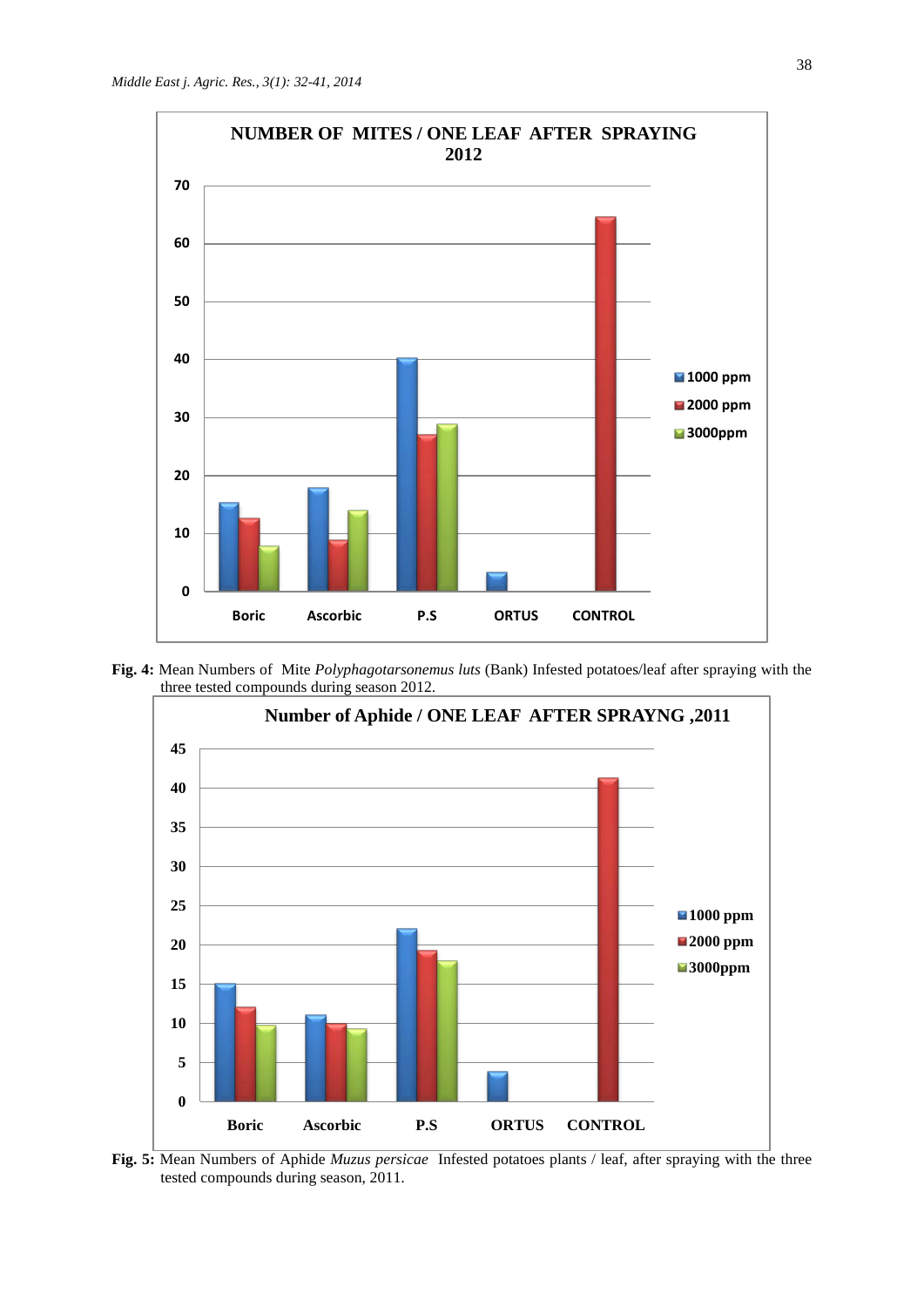

**Fig. 4:** Mean Numbers of Mite *Polyphagotarsonemus luts* (Bank) Infested potatoes/leaf after spraying with the three tested compounds during season 2012.



**Fig. 5:** Mean Numbers of Aphide *Muzus persicae* Infested potatoes plants / leaf, after spraying with the three tested compounds during season, 2011.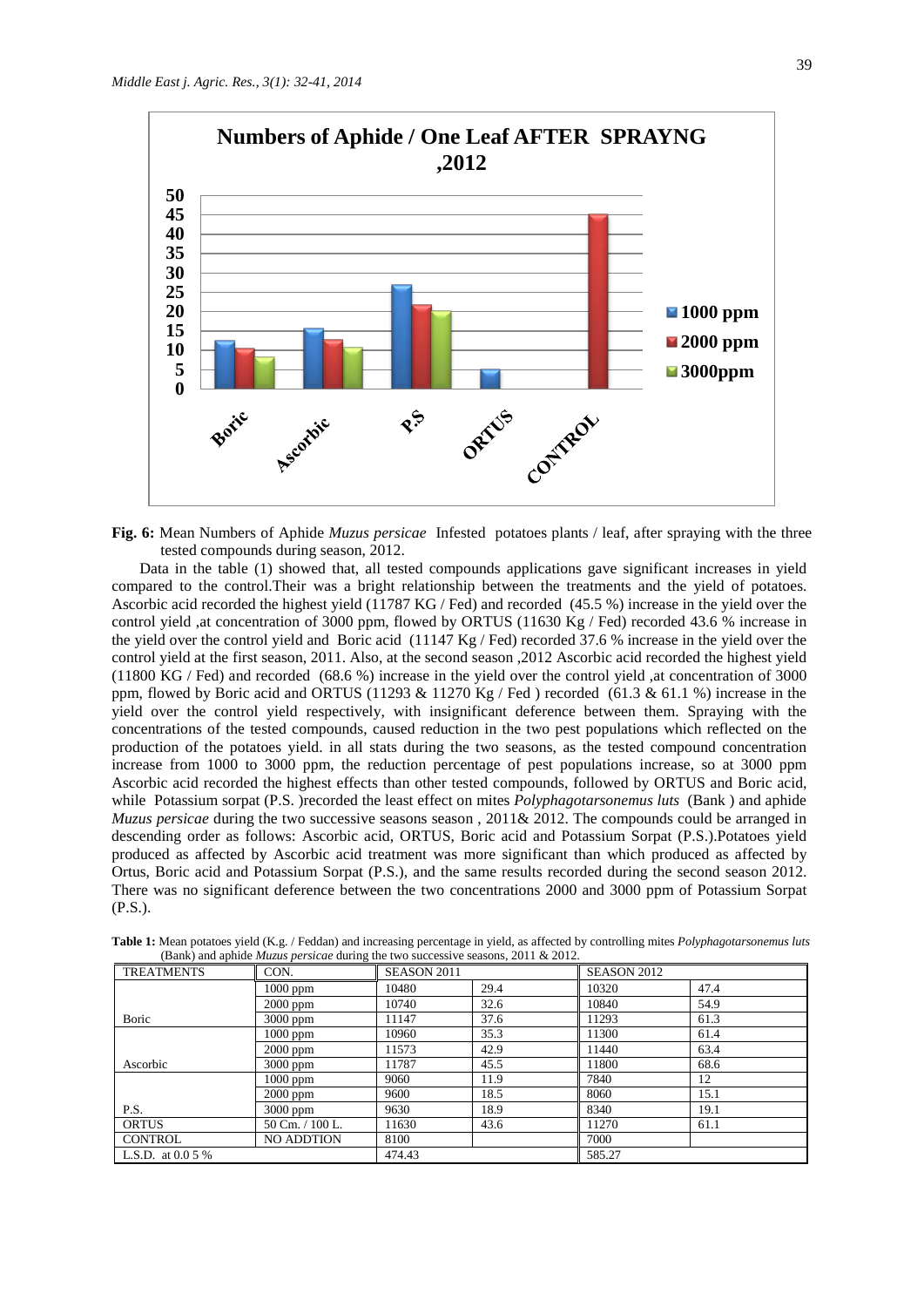

**Fig. 6:** Mean Numbers of Aphide *Muzus persicae* Infested potatoes plants / leaf, after spraying with the three tested compounds during season, 2012.

Data in the table (1) showed that, all tested compounds applications gave significant increases in yield compared to the control.Their was a bright relationship between the treatments and the yield of potatoes. Ascorbic acid recorded the highest yield (11787 KG / Fed) and recorded (45.5 %) increase in the yield over the control yield ,at concentration of 3000 ppm, flowed by ORTUS (11630 Kg / Fed) recorded 43.6 % increase in the yield over the control yield and Boric acid (11147 Kg / Fed) recorded 37.6 % increase in the yield over the control yield at the first season, 2011. Also, at the second season ,2012 Ascorbic acid recorded the highest yield (11800 KG / Fed) and recorded (68.6 %) increase in the yield over the control yield ,at concentration of 3000 ppm, flowed by Boric acid and ORTUS (11293 & 11270 Kg / Fed ) recorded (61.3 & 61.1 %) increase in the yield over the control yield respectively, with insignificant deference between them. Spraying with the concentrations of the tested compounds, caused reduction in the two pest populations which reflected on the production of the potatoes yield. in all stats during the two seasons, as the tested compound concentration increase from 1000 to 3000 ppm, the reduction percentage of pest populations increase, so at 3000 ppm Ascorbic acid recorded the highest effects than other tested compounds, followed by ORTUS and Boric acid, while Potassium sorpat (P.S. )recorded the least effect on mites *Polyphagotarsonemus luts* (Bank) and aphide *Muzus persicae* during the two successive seasons season , 2011& 2012. The compounds could be arranged in descending order as follows: Ascorbic acid, ORTUS, Boric acid and Potassium Sorpat (P.S.).Potatoes yield produced as affected by Ascorbic acid treatment was more significant than which produced as affected by Ortus, Boric acid and Potassium Sorpat (P.S.), and the same results recorded during the second season 2012. There was no significant deference between the two concentrations 2000 and 3000 ppm of Potassium Sorpat (P.S.).

| <b>TREATMENTS</b>  | CON.              | SEASON 2011 |      | SEASON 2012 |      |
|--------------------|-------------------|-------------|------|-------------|------|
|                    | $1000$ ppm        | 10480       | 29.4 | 10320       | 47.4 |
|                    | 2000 ppm          | 10740       | 32.6 | 10840       | 54.9 |
| Boric              | 3000 ppm          | 11147       | 37.6 | 11293       | 61.3 |
|                    | $1000$ ppm        | 10960       | 35.3 | 11300       | 61.4 |
|                    | 2000 ppm          | 11573       | 42.9 | 11440       | 63.4 |
| Ascorbic           | 3000 ppm          | 11787       | 45.5 | 11800       | 68.6 |
|                    | 1000 ppm          | 9060        | 11.9 | 7840        | 12   |
|                    | $2000$ ppm        | 9600        | 18.5 | 8060        | 15.1 |
| P.S.               | 3000 ppm          | 9630        | 18.9 | 8340        | 19.1 |
| <b>ORTUS</b>       | 50 Cm. / 100 L.   | 11630       | 43.6 | 11270       | 61.1 |
| <b>CONTROL</b>     | <b>NO ADDTION</b> | 8100        |      | 7000        |      |
| L.S.D. at $0.05\%$ |                   | 474.43      |      | 585.27      |      |

**Table 1:** Mean potatoes yield (K.g. / Feddan) and increasing percentage in yield, as affected by controlling mites *Polyphagotarsonemus luts* (Bank) and aphide *Muzus persicae* during the two successive seasons, 2011 & 2012.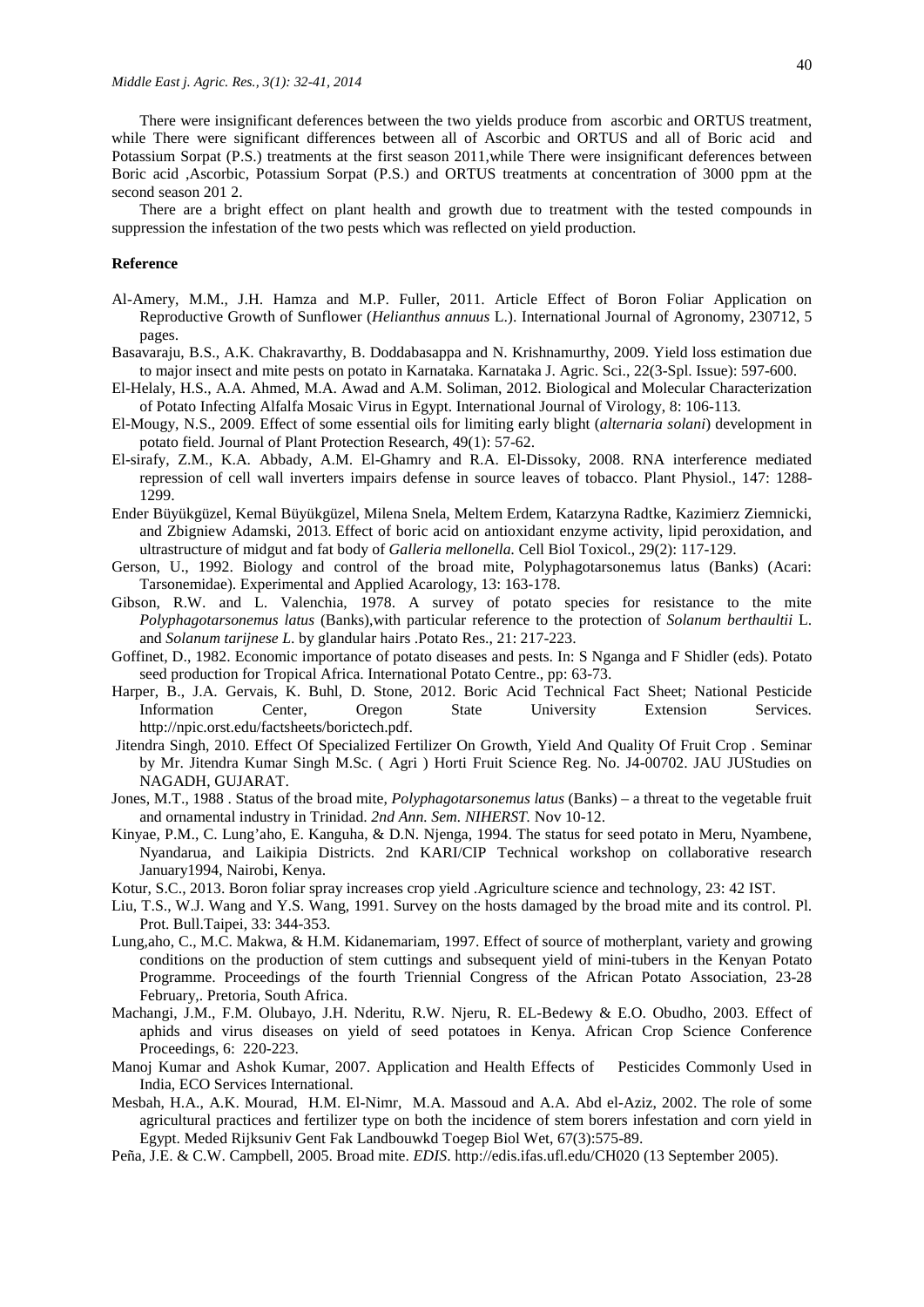There were insignificant deferences between the two yields produce from ascorbic and ORTUS treatment, while There were significant differences between all of Ascorbic and ORTUS and all of Boric acid and Potassium Sorpat (P.S.) treatments at the first season 2011,while There were insignificant deferences between Boric acid ,Ascorbic, Potassium Sorpat (P.S.) and ORTUS treatments at concentration of 3000 ppm at the second season 201 2.

There are a bright effect on plant health and growth due to treatment with the tested compounds in suppression the infestation of the two pests which was reflected on yield production.

#### **Reference**

- Al-Amery, M.M., J.H. Hamza and M.P. Fuller, 2011. Article Effect of Boron Foliar Application on Reproductive Growth of Sunflower (*Helianthus annuus* L.). International Journal of Agronomy, 230712, 5 pages.
- Basavaraju, B.S., A.K. Chakravarthy, B. Doddabasappa and N. Krishnamurthy, 2009. Yield loss estimation due to major insect and mite pests on potato in Karnataka. Karnataka J. Agric. Sci., 22(3-Spl. Issue): 597-600.
- El-Helaly, H.S., A.A. Ahmed, M.A. Awad and A.M. Soliman, 2012. Biological and Molecular Characterization of Potato Infecting Alfalfa Mosaic Virus in Egypt. International Journal of Virology, 8: 106-113*.*
- El-Mougy, N.S., 2009. Effect of some essential oils for limiting early blight (*alternaria solani*) development in potato field. Journal of Plant Protection Research, 49(1): 57-62.
- El-sirafy, Z.M., K.A. Abbady, A.M. El-Ghamry and R.A. El-Dissoky, 2008. RNA interference mediated repression of cell wall inverters impairs defense in source leaves of tobacco. Plant Physiol., 147: 1288- 1299.
- [Ender Büyükgüzel,](http://www.ncbi.nlm.nih.gov/pubmed/?term=B%26%23x000fc%3By%26%23x000fc%3Bkg%26%23x000fc%3Bzel%20E%5Bauth%5D) [Kemal Büyükgüzel,](http://www.ncbi.nlm.nih.gov/pubmed/?term=B%26%23x000fc%3By%26%23x000fc%3Bkg%26%23x000fc%3Bzel%20K%5Bauth%5D) [Milena Snela,](http://www.ncbi.nlm.nih.gov/pubmed/?term=Snela%20M%5Bauth%5D) [Meltem Erdem,](http://www.ncbi.nlm.nih.gov/pubmed/?term=Erdem%20M%5Bauth%5D) [Katarzyna Radtke,](http://www.ncbi.nlm.nih.gov/pubmed/?term=Radtke%20K%5Bauth%5D) [Kazimierz Ziemnicki,](http://www.ncbi.nlm.nih.gov/pubmed/?term=Ziemnicki%20K%5Bauth%5D) and [Zbigniew Adamski,](http://www.ncbi.nlm.nih.gov/pubmed/?term=Adamski%20Z%5Bauth%5D) 2013. Effect of boric acid on antioxidant enzyme activity, lipid peroxidation, and ultrastructure of midgut and fat body of *Galleria mellonella.* Cell Biol Toxicol., 29(2): 117-129.
- Gerson, U., 1992. Biology and control of the broad mite, Polyphagotarsonemus latus (Banks) (Acari: Tarsonemidae). Experimental and Applied Acarology, 13: 163-178.
- Gibson, R.W. and L. Valenchia, 1978. A survey of potato species for resistance to the mite *Polyphagotarsonemus latus* (Banks),with particular reference to the protection of *Solanum berthaultii* L. and *Solanum tarijnese L*. by glandular hairs .Potato Res., 21: 217-223.
- Goffinet, D., 1982. Economic importance of potato diseases and pests. In: S Nganga and F Shidler (eds). Potato seed production for Tropical Africa. International Potato Centre., pp: 63-73.
- Harper, B., J.A. Gervais, K. Buhl, D. Stone, 2012. Boric Acid Technical Fact Sheet; National Pesticide Information Center, Oregon State University Extension Services. [http://npic.orst.edu/factsheets/borictech.pdf.](http://npic.orst.edu/factsheets/borictech.pdf)
- Jitendra Singh, 2010. Effect Of Specialized Fertilizer On Growth, Yield And Quality Of Fruit Crop . Seminar by Mr. Jitendra Kumar Singh M.Sc. ( Agri ) Horti Fruit Science Reg. No. J4-00702. JAU JUStudies on NAGADH, GUJARAT.
- Jones, M.T., 1988 . Status of the broad mite, *Polyphagotarsonemus latus* (Banks) a threat to the vegetable fruit and ornamental industry in Trinidad. *2nd Ann. Sem. NIHERST.* Nov 10-12.
- Kinyae, P.M., C. Lung'aho, E. Kanguha, & D.N. Njenga, 1994. The status for seed potato in Meru, Nyambene, Nyandarua, and Laikipia Districts. 2nd KARI/CIP Technical workshop on collaborative research January1994, Nairobi, Kenya.
- Kotur, S.C., 2013. Boron foliar spray increases crop yield .Agriculture science and technology, 23: 42 IST.
- Liu, T.S., W.J. Wang and Y.S. Wang, 1991. Survey on the hosts damaged by the broad mite and its control. Pl. Prot. Bull.Taipei, 33: 344-353.
- Lung,aho, C., M.C. Makwa, & H.M. Kidanemariam, 1997. Effect of source of motherplant, variety and growing conditions on the production of stem cuttings and subsequent yield of mini-tubers in the Kenyan Potato Programme. Proceedings of the fourth Triennial Congress of the African Potato Association, 23-28 February,. Pretoria, South Africa.
- Machangi, J.M., F.M. Olubayo, J.H. Nderitu, R.W. Njeru, R. EL-Bedewy & E.O. Obudho, 2003. Effect of aphids and virus diseases on yield of seed potatoes in Kenya. African Crop Science Conference Proceedings, 6: 220-223.
- Manoj Kumar and Ashok Kumar, 2007. Application and Health Effects of Pesticides Commonly Used in India[, ECO Services International](http://www.eco-web.com/index.html)*.*
- [Mesbah,](http://www.ncbi.nlm.nih.gov/pubmed?term=Mesbah%20HA%5BAuthor%5D&cauthor=true&cauthor_uid=12696425) H.A., A.K. [Mourad,](http://www.ncbi.nlm.nih.gov/pubmed?term=Mourad%20AK%5BAuthor%5D&cauthor=true&cauthor_uid=12696425) H.M. [El-Nimr,](http://www.ncbi.nlm.nih.gov/pubmed?term=el-Nimr%20HM%5BAuthor%5D&cauthor=true&cauthor_uid=12696425) M.A. [Massoud](http://www.ncbi.nlm.nih.gov/pubmed?term=Massoud%20MA%5BAuthor%5D&cauthor=true&cauthor_uid=12696425) and A.A. [Abd el-Aziz,](http://www.ncbi.nlm.nih.gov/pubmed?term=Abd%20el-Aziz%20AA%5BAuthor%5D&cauthor=true&cauthor_uid=12696425) 2002. The role of some agricultural practices and fertilizer type on both the incidence of stem borers infestation and corn yield in Egypt. [Meded Rijksuniv Gent Fak Landbouwkd Toegep Biol Wet,](http://www.ncbi.nlm.nih.gov/pubmed/12696425) 67(3):575-89.
- Peña, J.E. & C.W. Campbell, 2005. Broad mite. *EDIS*.<http://edis.ifas.ufl.edu/CH020> (13 September 2005).